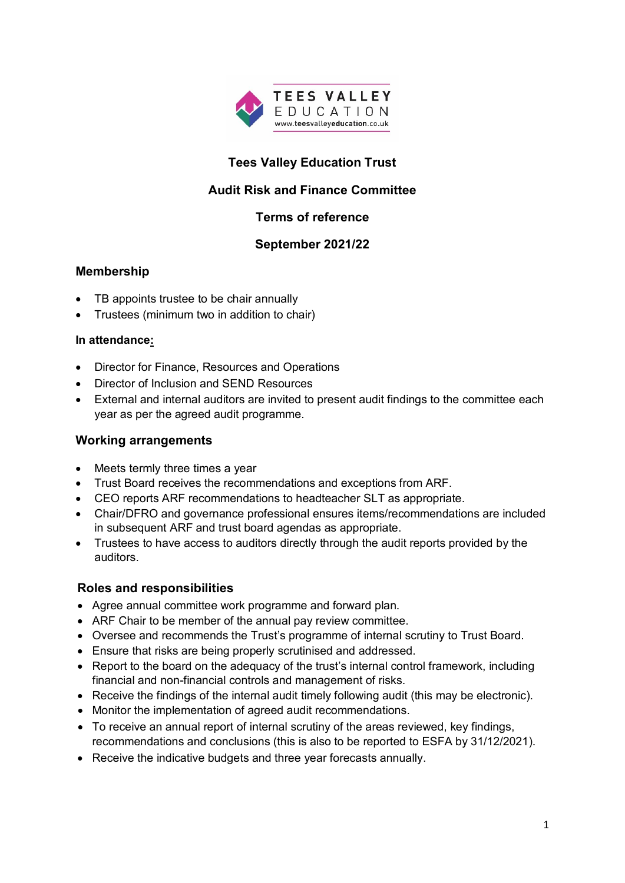

# **Tees Valley Education Trust**

# **Audit Risk and Finance Committee**

# **Terms of reference**

#### **September 2021/22**

### **Membership**

- TB appoints trustee to be chair annually
- Trustees (minimum two in addition to chair)

#### **In attendance:**

- Director for Finance, Resources and Operations
- Director of Inclusion and SEND Resources
- External and internal auditors are invited to present audit findings to the committee each year as per the agreed audit programme.

#### **Working arrangements**

- Meets termly three times a year
- Trust Board receives the recommendations and exceptions from ARF.
- CEO reports ARF recommendations to headteacher SLT as appropriate.
- Chair/DFRO and governance professional ensures items/recommendations are included in subsequent ARF and trust board agendas as appropriate.
- Trustees to have access to auditors directly through the audit reports provided by the auditors.

# **Roles and responsibilities**

- Agree annual committee work programme and forward plan.
- ARF Chair to be member of the annual pay review committee.
- Oversee and recommends the Trust's programme of internal scrutiny to Trust Board.
- Ensure that risks are being properly scrutinised and addressed.
- Report to the board on the adequacy of the trust's internal control framework, including financial and non-financial controls and management of risks.
- Receive the findings of the internal audit timely following audit (this may be electronic).
- Monitor the implementation of agreed audit recommendations.
- To receive an annual report of internal scrutiny of the areas reviewed, key findings, recommendations and conclusions (this is also to be reported to ESFA by 31/12/2021).
- Receive the indicative budgets and three year forecasts annually.